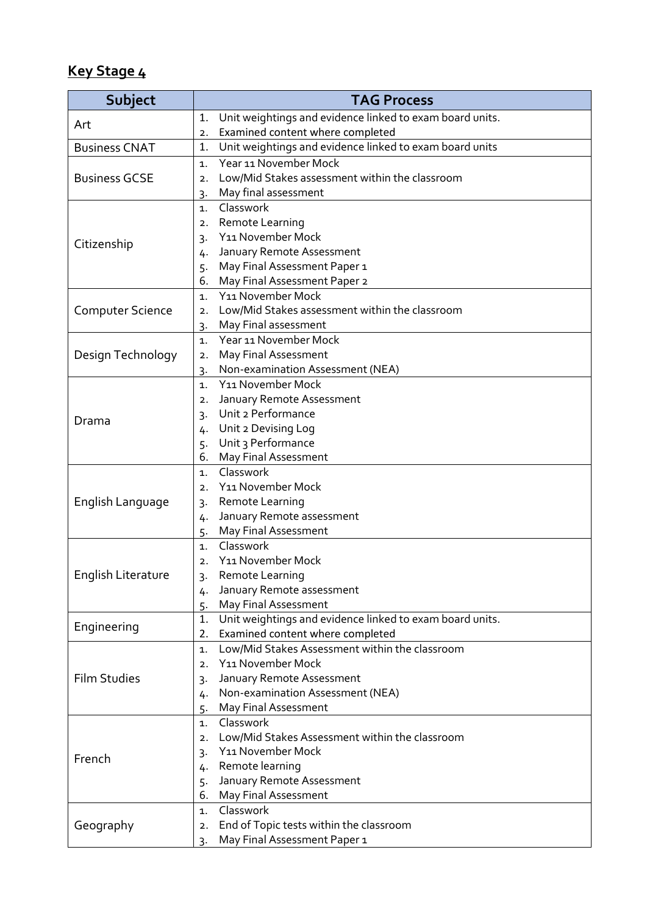## **Key Stage 4**

| Subject                 | <b>TAG Process</b>                                                 |
|-------------------------|--------------------------------------------------------------------|
| Art                     | Unit weightings and evidence linked to exam board units.<br>1.     |
|                         | Examined content where completed<br>2.                             |
| <b>Business CNAT</b>    | Unit weightings and evidence linked to exam board units<br>1.      |
| <b>Business GCSE</b>    | Year 11 November Mock<br>$\mathbf{1}$ .                            |
|                         | Low/Mid Stakes assessment within the classroom<br>$\overline{2}$ . |
|                         | May final assessment<br>3.                                         |
|                         | Classwork<br>$\mathbf{1}$ .                                        |
|                         | Remote Learning<br>2.                                              |
| Citizenship             | Y11 November Mock<br>3.                                            |
|                         | January Remote Assessment<br>4.                                    |
|                         | May Final Assessment Paper 1<br>5.                                 |
|                         | May Final Assessment Paper 2<br>6.                                 |
| <b>Computer Science</b> | Y11 November Mock<br>1.                                            |
|                         | Low/Mid Stakes assessment within the classroom<br>2.               |
|                         | May Final assessment<br>3.                                         |
|                         | Year 11 November Mock<br>1.                                        |
| Design Technology       | May Final Assessment<br>2.                                         |
|                         | Non-examination Assessment (NEA)<br>3.                             |
|                         | Y11 November Mock<br>$\mathbf{1}$ .                                |
|                         | January Remote Assessment<br>2.                                    |
| Drama                   | Unit 2 Performance<br>3.                                           |
|                         | Unit 2 Devising Log<br>4.                                          |
|                         | Unit 3 Performance<br>5.                                           |
|                         | May Final Assessment<br>6.                                         |
|                         | Classwork<br>$\mathbf{1}$ .                                        |
|                         | Y11 November Mock<br>$\overline{2}$ .                              |
| English Language        | Remote Learning<br>3.                                              |
|                         | January Remote assessment<br>4.                                    |
|                         | May Final Assessment<br>5.<br>Classwork                            |
|                         | 1.<br>Y11 November Mock<br>2.                                      |
| English Literature      |                                                                    |
|                         | Remote Learning<br>3.<br>January Remote assessment                 |
|                         | 4.<br>May Final Assessment<br>5.                                   |
|                         | Unit weightings and evidence linked to exam board units.<br>1.     |
| Engineering             | Examined content where completed<br>2.                             |
|                         | Low/Mid Stakes Assessment within the classroom<br>1.               |
|                         | Y11 November Mock<br>2.                                            |
| <b>Film Studies</b>     | January Remote Assessment<br>3.                                    |
|                         | Non-examination Assessment (NEA)<br>4.                             |
|                         | May Final Assessment<br>5.                                         |
|                         | Classwork<br>1.                                                    |
|                         | Low/Mid Stakes Assessment within the classroom<br>2.               |
| French                  | Y11 November Mock<br>3.                                            |
|                         | Remote learning<br>4.                                              |
|                         | January Remote Assessment<br>5.                                    |
|                         | May Final Assessment<br>6.                                         |
|                         | Classwork<br>1.                                                    |
| Geography               | End of Topic tests within the classroom<br>2.                      |
|                         | May Final Assessment Paper 1<br>3.                                 |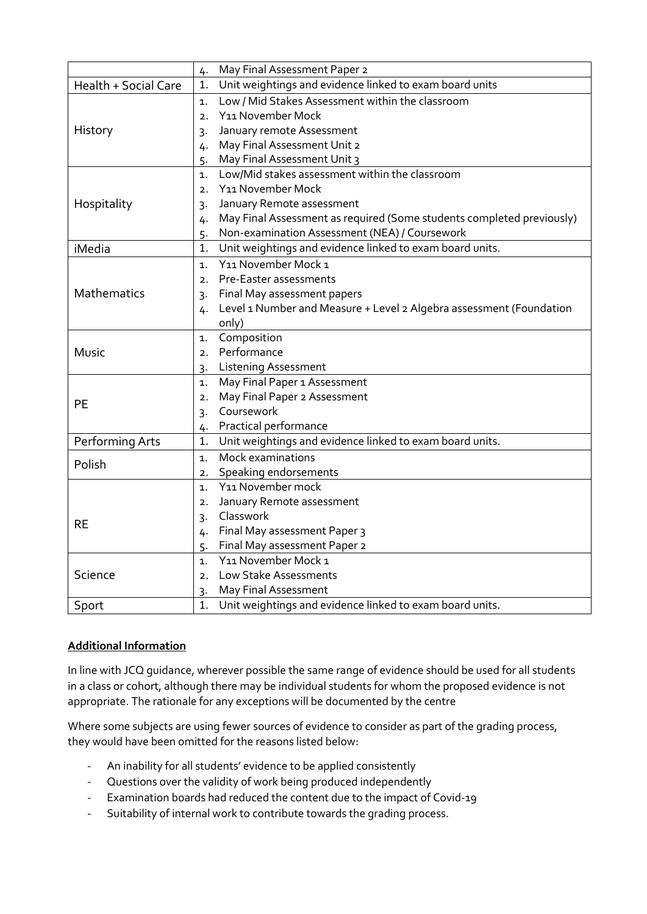|                      | May Final Assessment Paper 2<br>4.                                          |
|----------------------|-----------------------------------------------------------------------------|
| Health + Social Care | Unit weightings and evidence linked to exam board units<br>1.               |
| History              | Low / Mid Stakes Assessment within the classroom<br>1.                      |
|                      | Y11 November Mock<br>2.                                                     |
|                      | January remote Assessment<br>3.                                             |
|                      | May Final Assessment Unit 2<br>4.                                           |
|                      | May Final Assessment Unit 3<br>5.                                           |
| Hospitality          | Low/Mid stakes assessment within the classroom<br>1.                        |
|                      | Y11 November Mock<br>2.                                                     |
|                      | January Remote assessment<br>$\overline{3}$ .                               |
|                      | May Final Assessment as required (Some students completed previously)<br>4. |
|                      | Non-examination Assessment (NEA) / Coursework<br>5.                         |
| iMedia               | Unit weightings and evidence linked to exam board units.<br>1.              |
|                      | Y11 November Mock 1<br>1.                                                   |
| Mathematics          | Pre-Easter assessments<br>2.                                                |
|                      | Final May assessment papers<br>$\overline{3}$ .                             |
|                      | Level 1 Number and Measure + Level 2 Algebra assessment (Foundation<br>4.   |
|                      | only)                                                                       |
|                      | Composition<br>1.                                                           |
| Music                | Performance<br>2.                                                           |
|                      | <b>Listening Assessment</b><br>3.                                           |
|                      | May Final Paper 1 Assessment<br>1.                                          |
| <b>PE</b>            | May Final Paper 2 Assessment<br>2.                                          |
|                      | Coursework<br>$3 -$                                                         |
|                      | Practical performance<br>4.                                                 |
| Performing Arts      | Unit weightings and evidence linked to exam board units.<br>1.              |
| Polish               | Mock examinations<br>1.                                                     |
|                      | 2. Speaking endorsements                                                    |
| <b>RE</b>            | Y11 November mock<br>1.                                                     |
|                      | January Remote assessment<br>2.                                             |
|                      | Classwork<br>3.                                                             |
|                      | Final May assessment Paper 3<br>4.                                          |
|                      | Final May assessment Paper 2<br>5.                                          |
| Science              | Y11 November Mock 1<br>1.                                                   |
|                      | Low Stake Assessments<br>2.                                                 |
|                      | May Final Assessment<br>3.                                                  |
| Sport                | Unit weightings and evidence linked to exam board units.<br>1.              |

## **Additional Information**

In line with JCQ guidance, wherever possible the same range of evidence should be used for all students in a class or cohort, although there may be individual students for whom the proposed evidence is not appropriate. The rationale for any exceptions will be documented by the centre

Where some subjects are using fewer sources of evidence to consider as part of the grading process, they would have been omitted for the reasons listed below:

- An inability for all students' evidence to be applied consistently
- Questions over the validity of work being produced independently
- Examination boards had reduced the content due to the impact of Covid-19
- Suitability of internal work to contribute towards the grading process.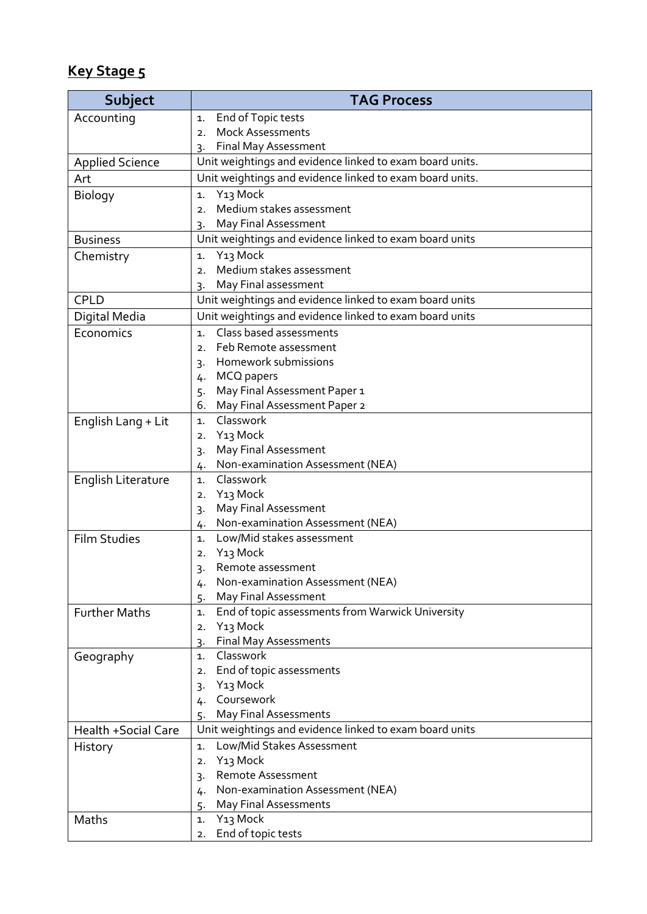## **Key Stage 5**

| <b>Subject</b>         | <b>TAG Process</b>                                             |
|------------------------|----------------------------------------------------------------|
| Accounting             | End of Topic tests<br>1.                                       |
|                        | <b>Mock Assessments</b><br>2.                                  |
|                        | Final May Assessment<br>3.                                     |
| <b>Applied Science</b> | Unit weightings and evidence linked to exam board units.       |
| Art                    | Unit weightings and evidence linked to exam board units.       |
| Biology                | Y <sub>13</sub> Mock<br>1.                                     |
|                        | Medium stakes assessment<br>2.                                 |
|                        | May Final Assessment<br>3.                                     |
| <b>Business</b>        | Unit weightings and evidence linked to exam board units        |
| Chemistry              | Y <sub>13</sub> Mock<br>1.                                     |
|                        | Medium stakes assessment<br>2.                                 |
|                        | May Final assessment<br>٦.                                     |
| <b>CPLD</b>            | Unit weightings and evidence linked to exam board units        |
| Digital Media          | Unit weightings and evidence linked to exam board units        |
| Economics              | Class based assessments<br>1.                                  |
|                        | Feb Remote assessment<br>2.                                    |
|                        | Homework submissions<br>3.                                     |
|                        | 4. MCQ papers                                                  |
|                        | May Final Assessment Paper 1<br>5.                             |
|                        | May Final Assessment Paper 2<br>6.                             |
| English Lang + Lit     | Classwork<br>1.                                                |
|                        | Y13 Mock<br>$\mathbf{2}$                                       |
|                        | May Final Assessment<br>3.<br>Non-examination Assessment (NEA) |
|                        | 4.<br>Classwork<br>1.                                          |
| English Literature     | Y13 Mock<br>2.                                                 |
|                        | May Final Assessment<br>3.                                     |
|                        | Non-examination Assessment (NEA)<br>4.                         |
| <b>Film Studies</b>    | Low/Mid stakes assessment<br>1.                                |
|                        | Y <sub>13</sub> Mock<br>2.                                     |
|                        | Remote assessment<br>3.                                        |
|                        | Non-examination Assessment (NEA)<br>4.                         |
|                        | May Final Assessment<br>5.                                     |
| <b>Further Maths</b>   | End of topic assessments from Warwick University<br>1.         |
|                        | Y <sub>13</sub> Mock<br>2.                                     |
|                        | <b>Final May Assessments</b><br>3.                             |
| Geography              | Classwork<br>$\mathbf{1}$ .                                    |
|                        | End of topic assessments<br>2.                                 |
|                        | Y <sub>13</sub> Mock<br>$3 -$                                  |
|                        | Coursework<br>4.                                               |
|                        | May Final Assessments<br>5.                                    |
| Health +Social Care    | Unit weightings and evidence linked to exam board units        |
| History                | Low/Mid Stakes Assessment<br>1.                                |
|                        | Y <sub>13</sub> Mock<br>2.<br><b>Remote Assessment</b>         |
|                        | 3.<br>Non-examination Assessment (NEA)                         |
|                        | 4.<br>May Final Assessments<br>5.                              |
| Maths                  | Y <sub>13</sub> Mock<br>1.                                     |
|                        | End of topic tests<br>2.                                       |